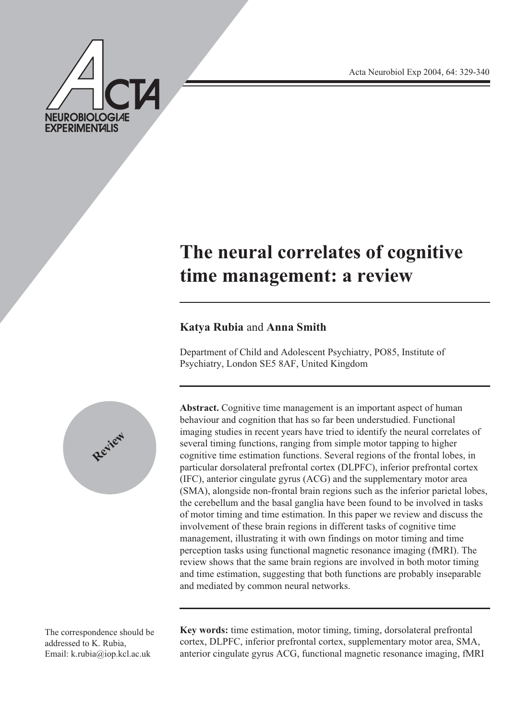**NEUROBIOLOGIAE EXPERIMENTALIS** 

Acta Neurobiol Exp 2004, 64: 329-340

# **The neural correlates of cognitive time management: a review**

# **Katya Rubia** and **Anna Smith**

Department of Child and Adolescent Psychiatry, PO85, Institute of Psychiatry, London SE5 8AF, United Kingdom



Abstract. Cognitive time management is an important aspect of human behaviour and cognition that has so far been understudied. Functional imaging studies in recent years have tried to identify the neural correlates of several timing functions, ranging from simple motor tapping to higher cognitive time estimation functions. Several regions of the frontal lobes, in particular dorsolateral prefrontal cortex (DLPFC), inferior prefrontal cortex (IFC), anterior cingulate gyrus (ACG) and the supplementary motor area (SMA), alongside non-frontal brain regions such as the inferior parietal lobes, the cerebellum and the basal ganglia have been found to be involved in tasks of motor timing and time estimation. In this paper we review and discuss the involvement of these brain regions in different tasks of cognitive time management, illustrating it with own findings on motor timing and time perception tasks using functional magnetic resonance imaging (fMRI). The review shows that the same brain regions are involved in both motor timing and time estimation, suggesting that both functions are probably inseparable and mediated by common neural networks.

The correspondence should be addressed to K. Rubia, Email: k.rubia@iop.kcl.ac.uk

**Key words:** time estimation, motor timing, timing, dorsolateral prefrontal cortex, DLPFC, inferior prefrontal cortex, supplementary motor area, SMA, anterior cingulate gyrus ACG, functional magnetic resonance imaging, fMRI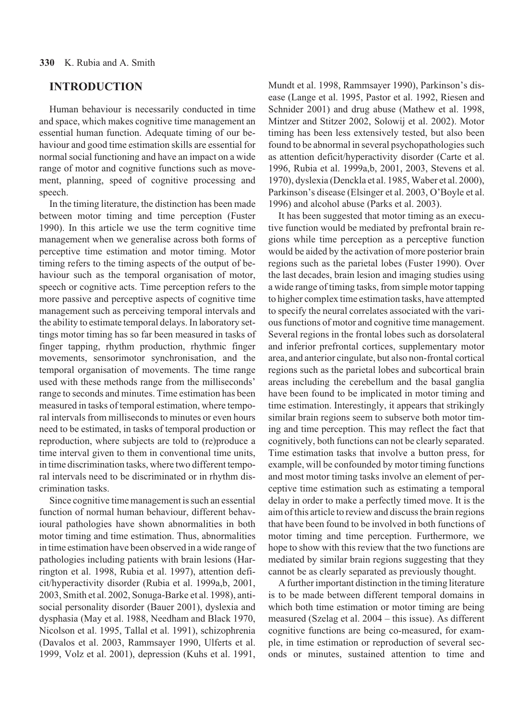### **INTRODUCTION**

Human behaviour is necessarily conducted in time and space, which makes cognitive time management an essential human function. Adequate timing of our behaviour and good time estimation skills are essential for normal social functioning and have an impact on a wide range of motor and cognitive functions such as movement, planning, speed of cognitive processing and speech.

In the timing literature, the distinction has been made between motor timing and time perception (Fuster 1990). In this article we use the term cognitive time management when we generalise across both forms of perceptive time estimation and motor timing. Motor timing refers to the timing aspects of the output of behaviour such as the temporal organisation of motor, speech or cognitive acts. Time perception refers to the more passive and perceptive aspects of cognitive time management such as perceiving temporal intervals and the ability to estimate temporal delays. In laboratory settings motor timing has so far been measured in tasks of finger tapping, rhythm production, rhythmic finger movements, sensorimotor synchronisation, and the temporal organisation of movements. The time range used with these methods range from the milliseconds' range to seconds and minutes. Time estimation has been measured in tasks of temporal estimation, where temporal intervals from milliseconds to minutes or even hours need to be estimated, in tasks of temporal production or reproduction, where subjects are told to (re)produce a time interval given to them in conventional time units, in time discrimination tasks, where two different temporal intervals need to be discriminated or in rhythm discrimination tasks.

Since cognitive time management is such an essential function of normal human behaviour, different behavioural pathologies have shown abnormalities in both motor timing and time estimation. Thus, abnormalities in time estimation have been observed in a wide range of pathologies including patients with brain lesions (Harrington et al. 1998, Rubia et al. 1997), attention deficit/hyperactivity disorder (Rubia et al. 1999a,b, 2001, 2003, Smith et al. 2002, Sonuga-Barke et al. 1998), antisocial personality disorder (Bauer 2001), dyslexia and dysphasia (May et al. 1988, Needham and Black 1970, Nicolson et al. 1995, Tallal et al. 1991), schizophrenia (Davalos et al. 2003, Rammsayer 1990, Ulferts et al. 1999, Volz et al. 2001), depression (Kuhs et al. 1991, Mundt et al. 1998, Rammsayer 1990), Parkinson's disease (Lange et al. 1995, Pastor et al. 1992, Riesen and Schnider 2001) and drug abuse (Mathew et al. 1998, Mintzer and Stitzer 2002, Solowij et al. 2002). Motor timing has been less extensively tested, but also been found to be abnormal in several psychopathologies such as attention deficit/hyperactivity disorder (Carte et al. 1996, Rubia et al. 1999a,b, 2001, 2003, Stevens et al. 1970), dyslexia (Denckla et al. 1985, Waber et al. 2000), Parkinson's disease (Elsinger et al. 2003, O'Boyle et al. 1996) and alcohol abuse (Parks et al. 2003).

It has been suggested that motor timing as an executive function would be mediated by prefrontal brain regions while time perception as a perceptive function would be aided by the activation of more posterior brain regions such as the parietal lobes (Fuster 1990). Over the last decades, brain lesion and imaging studies using a wide range of timing tasks, from simple motor tapping to higher complex time estimation tasks, have attempted to specify the neural correlates associated with the various functions of motor and cognitive time management. Several regions in the frontal lobes such as dorsolateral and inferior prefrontal cortices, supplementary motor area, and anterior cingulate, but also non-frontal cortical regions such as the parietal lobes and subcortical brain areas including the cerebellum and the basal ganglia have been found to be implicated in motor timing and time estimation. Interestingly, it appears that strikingly similar brain regions seem to subserve both motor timing and time perception. This may reflect the fact that cognitively, both functions can not be clearly separated. Time estimation tasks that involve a button press, for example, will be confounded by motor timing functions and most motor timing tasks involve an element of perceptive time estimation such as estimating a temporal delay in order to make a perfectly timed move. It is the aim of this article to review and discuss the brain regions that have been found to be involved in both functions of motor timing and time perception. Furthermore, we hope to show with this review that the two functions are mediated by similar brain regions suggesting that they cannot be as clearly separated as previously thought.

A further important distinction in the timing literature is to be made between different temporal domains in which both time estimation or motor timing are being measured (Szelag et al. 2004 – this issue). As different cognitive functions are being co-measured, for example, in time estimation or reproduction of several seconds or minutes, sustained attention to time and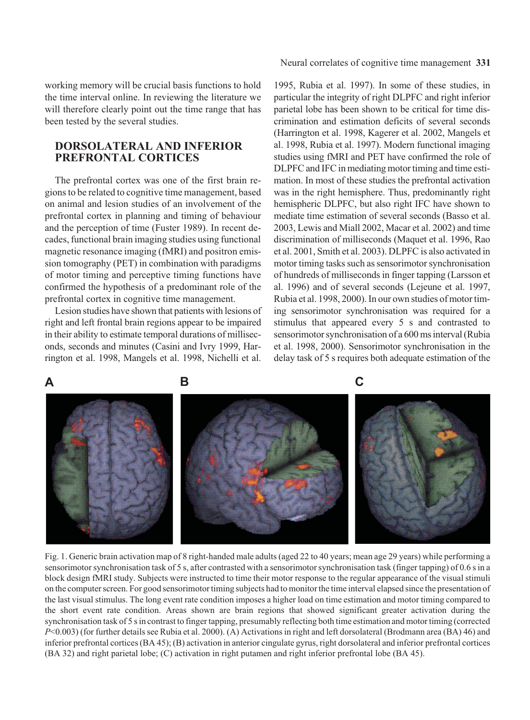#### Neural correlates of cognitive time management **331**

working memory will be crucial basis functions to hold the time interval online. In reviewing the literature we will therefore clearly point out the time range that has been tested by the several studies.

# **DORSOLATERAL AND INFERIOR PREFRONTAL CORTICES**

The prefrontal cortex was one of the first brain regions to be related to cognitive time management, based on animal and lesion studies of an involvement of the prefrontal cortex in planning and timing of behaviour and the perception of time (Fuster 1989). In recent decades, functional brain imaging studies using functional magnetic resonance imaging (fMRI) and positron emission tomography (PET) in combination with paradigms of motor timing and perceptive timing functions have confirmed the hypothesis of a predominant role of the prefrontal cortex in cognitive time management.

Lesion studies have shown that patients with lesions of right and left frontal brain regions appear to be impaired in their ability to estimate temporal durations of milliseconds, seconds and minutes (Casini and Ivry 1999, Harrington et al. 1998, Mangels et al. 1998, Nichelli et al.

1995, Rubia et al. 1997). In some of these studies, in particular the integrity of right DLPFC and right inferior parietal lobe has been shown to be critical for time discrimination and estimation deficits of several seconds (Harrington et al. 1998, Kagerer et al. 2002, Mangels et al. 1998, Rubia et al. 1997). Modern functional imaging studies using fMRI and PET have confirmed the role of DLPFC and IFC in mediating motor timing and time estimation. In most of these studies the prefrontal activation was in the right hemisphere. Thus, predominantly right hemispheric DLPFC, but also right IFC have shown to mediate time estimation of several seconds (Basso et al. 2003, Lewis and Miall 2002, Macar et al. 2002) and time discrimination of milliseconds (Maquet et al. 1996, Rao et al. 2001, Smith et al. 2003). DLPFC is also activated in motor timing tasks such as sensorimotor synchronisation of hundreds of milliseconds in finger tapping (Larsson et al. 1996) and of several seconds (Lejeune et al. 1997, Rubia et al. 1998, 2000). In our own studies of motor timing sensorimotor synchronisation was required for a stimulus that appeared every 5 s and contrasted to sensorimotor synchronisation of a 600 ms interval (Rubia et al. 1998, 2000). Sensorimotor synchronisation in the delay task of 5 s requires both adequate estimation of the





Fig. 1. Generic brain activation map of 8 right-handed male adults (aged 22 to 40 years; mean age 29 years) while performing a sensorimotor synchronisation task of 5 s, after contrasted with a sensorimotor synchronisation task (finger tapping) of 0.6 s in a block design fMRI study. Subjects were instructed to time their motor response to the regular appearance of the visual stimuli on the computer screen. For good sensorimotor timing subjects had to monitor the time interval elapsed since the presentation of the last visual stimulus. The long event rate condition imposes a higher load on time estimation and motor timing compared to the short event rate condition. Areas shown are brain regions that showed significant greater activation during the synchronisation task of 5 s in contrast to finger tapping, presumably reflecting both time estimation and motor timing (corrected *P*<0.003) (for further details see Rubia et al. 2000). (A) Activations in right and left dorsolateral (Brodmann area (BA) 46) and inferior prefrontal cortices (BA 45); (B) activation in anterior cingulate gyrus, right dorsolateral and inferior prefrontal cortices (BA 32) and right parietal lobe; (C) activation in right putamen and right inferior prefrontal lobe (BA 45).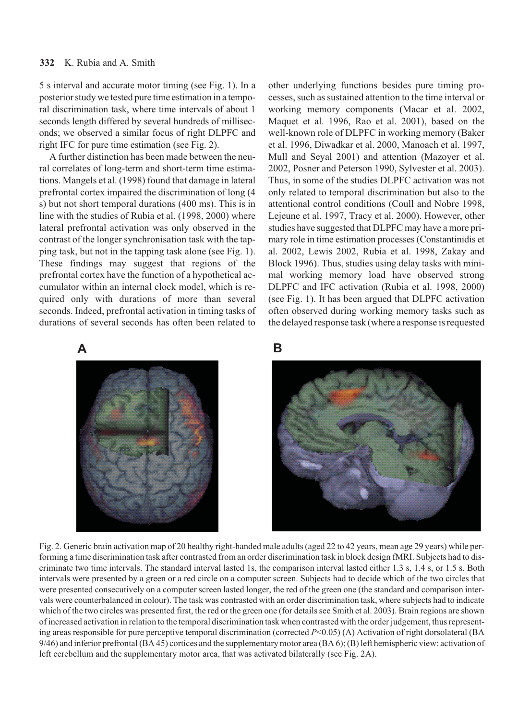5 s interval and accurate motor timing (see Fig. 1). In a posterior study we tested pure time estimation in a temporal discrimination task, where time intervals of about 1 seconds length differed by several hundreds of milliseconds; we observed a similar focus of right DLPFC and right IFC for pure time estimation (see Fig. 2).

A further distinction has been made between the neural correlates of long-term and short-term time estimations. Mangels et al. (1998) found that damage in lateral prefrontal cortex impaired the discrimination of long (4 s) but not short temporal durations (400 ms). This is in line with the studies of Rubia et al. (1998, 2000) where lateral prefrontal activation was only observed in the contrast of the longer synchronisation task with the tapping task, but not in the tapping task alone (see Fig. 1). These findings may suggest that regions of the prefrontal cortex have the function of a hypothetical accumulator within an internal clock model, which is required only with durations of more than several seconds. Indeed, prefrontal activation in timing tasks of durations of several seconds has often been related to

other underlying functions besides pure timing processes, such as sustained attention to the time interval or working memory components (Macar et al. 2002, Maquet et al. 1996, Rao et al. 2001), based on the well-known role of DLPFC in working memory (Baker et al. 1996, Diwadkar et al. 2000, Manoach et al. 1997, Mull and Seyal 2001) and attention (Mazoyer et al. 2002, Posner and Peterson 1990, Sylvester et al. 2003). Thus, in some of the studies DLPFC activation was not only related to temporal discrimination but also to the attentional control conditions (Coull and Nobre 1998, Lejeune et al. 1997, Tracy et al. 2000). However, other studies have suggested that DLPFC may have a more primary role in time estimation processes (Constantinidis et al. 2002, Lewis 2002, Rubia et al. 1998, Zakay and Block 1996). Thus, studies using delay tasks with minimal working memory load have observed strong DLPFC and IFC activation (Rubia et al. 1998, 2000) (see Fig. 1). It has been argued that DLPFC activation often observed during working memory tasks such as the delayed response task (where a response is requested

# **A B**



Fig. 2. Generic brain activation map of 20 healthy right-handed male adults (aged 22 to 42 years, mean age 29 years) while performing a time discrimination task after contrasted from an order discrimination task in block design fMRI. Subjects had to discriminate two time intervals. The standard interval lasted 1s, the comparison interval lasted either 1.3 s, 1.4 s, or 1.5 s. Both intervals were presented by a green or a red circle on a computer screen. Subjects had to decide which of the two circles that were presented consecutively on a computer screen lasted longer, the red of the green one (the standard and comparison intervals were counterbalanced in colour). The task was contrasted with an order discrimination task, where subjects had to indicate which of the two circles was presented first, the red or the green one (for details see Smith et al. 2003). Brain regions are shown of increased activation in relation to the temporal discrimination task when contrasted with the order judgement, thus representing areas responsible for pure perceptive temporal discrimination (corrected *P*<0.05) (A) Activation of right dorsolateral (BA 9/46) and inferior prefrontal (BA 45) cortices and the supplementary motor area (BA 6); (B) left hemispheric view: activation of left cerebellum and the supplementary motor area, that was activated bilaterally (see Fig. 2A).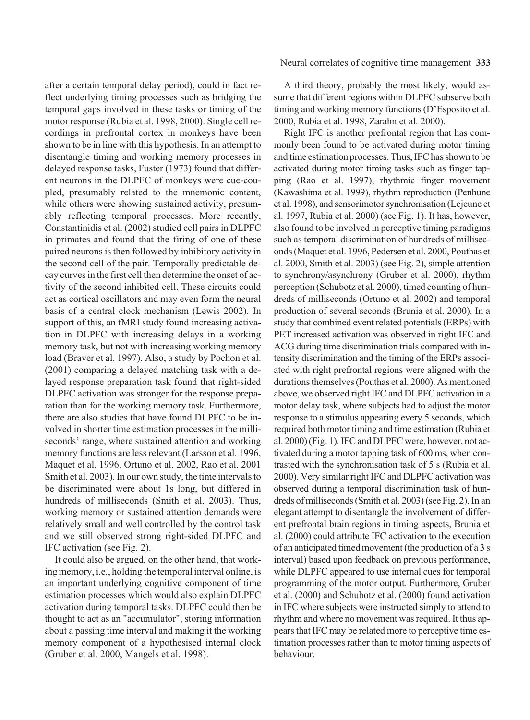after a certain temporal delay period), could in fact reflect underlying timing processes such as bridging the temporal gaps involved in these tasks or timing of the motor response (Rubia et al. 1998, 2000). Single cell recordings in prefrontal cortex in monkeys have been shown to be in line with this hypothesis. In an attempt to disentangle timing and working memory processes in delayed response tasks, Fuster (1973) found that different neurons in the DLPFC of monkeys were cue-coupled, presumably related to the mnemonic content, while others were showing sustained activity, presumably reflecting temporal processes. More recently, Constantinidis et al. (2002) studied cell pairs in DLPFC in primates and found that the firing of one of these paired neurons is then followed by inhibitory activity in the second cell of the pair. Temporally predictable decay curves in the first cell then determine the onset of activity of the second inhibited cell. These circuits could act as cortical oscillators and may even form the neural basis of a central clock mechanism (Lewis 2002). In support of this, an fMRI study found increasing activation in DLPFC with increasing delays in a working memory task, but not with increasing working memory load (Braver et al. 1997). Also, a study by Pochon et al. (2001) comparing a delayed matching task with a delayed response preparation task found that right-sided DLPFC activation was stronger for the response preparation than for the working memory task. Furthermore, there are also studies that have found DLPFC to be involved in shorter time estimation processes in the milliseconds' range, where sustained attention and working memory functions are less relevant (Larsson et al. 1996, Maquet et al. 1996, Ortuno et al. 2002, Rao et al. 2001 Smith et al. 2003). In our own study, the time intervals to be discriminated were about 1s long, but differed in hundreds of milliseconds (Smith et al. 2003). Thus, working memory or sustained attention demands were relatively small and well controlled by the control task and we still observed strong right-sided DLPFC and IFC activation (see Fig. 2).

It could also be argued, on the other hand, that working memory, i.e., holding the temporal interval online, is an important underlying cognitive component of time estimation processes which would also explain DLPFC activation during temporal tasks. DLPFC could then be thought to act as an "accumulator", storing information about a passing time interval and making it the working memory component of a hypothesised internal clock (Gruber et al. 2000, Mangels et al. 1998).

#### Neural correlates of cognitive time management **333**

A third theory, probably the most likely, would assume that different regions within DLPFC subserve both timing and working memory functions (D'Esposito et al. 2000, Rubia et al. 1998, Zarahn et al. 2000).

Right IFC is another prefrontal region that has commonly been found to be activated during motor timing and time estimation processes. Thus, IFC has shown to be activated during motor timing tasks such as finger tapping (Rao et al. 1997), rhythmic finger movement (Kawashima et al. 1999), rhythm reproduction (Penhune et al. 1998), and sensorimotor synchronisation (Lejeune et al. 1997, Rubia et al. 2000) (see Fig. 1). It has, however, also found to be involved in perceptive timing paradigms such as temporal discrimination of hundreds of milliseconds (Maquet et al. 1996, Pedersen et al. 2000, Pouthas et al. 2000, Smith et al. 2003) (see Fig. 2), simple attention to synchrony/asynchrony (Gruber et al. 2000), rhythm perception (Schubotz et al. 2000), timed counting of hundreds of milliseconds (Ortuno et al. 2002) and temporal production of several seconds (Brunia et al. 2000). In a study that combined event related potentials (ERPs) with PET increased activation was observed in right IFC and ACG during time discrimination trials compared with intensity discrimination and the timing of the ERPs associated with right prefrontal regions were aligned with the durations themselves (Pouthas et al. 2000). As mentioned above, we observed right IFC and DLPFC activation in a motor delay task, where subjects had to adjust the motor response to a stimulus appearing every 5 seconds, which required both motor timing and time estimation (Rubia et al. 2000) (Fig. 1). IFC and DLPFC were, however, not activated during a motor tapping task of 600 ms, when contrasted with the synchronisation task of 5 s (Rubia et al. 2000). Very similar right IFC and DLPFC activation was observed during a temporal discrimination task of hundreds of milliseconds (Smith et al. 2003) (see Fig. 2). In an elegant attempt to disentangle the involvement of different prefrontal brain regions in timing aspects, Brunia et al. (2000) could attribute IFC activation to the execution of an anticipated timed movement (the production of a 3 s interval) based upon feedback on previous performance, while DLPFC appeared to use internal cues for temporal programming of the motor output. Furthermore, Gruber et al. (2000) and Schubotz et al. (2000) found activation in IFC where subjects were instructed simply to attend to rhythm and where no movement was required. It thus appears that IFC may be related more to perceptive time estimation processes rather than to motor timing aspects of behaviour.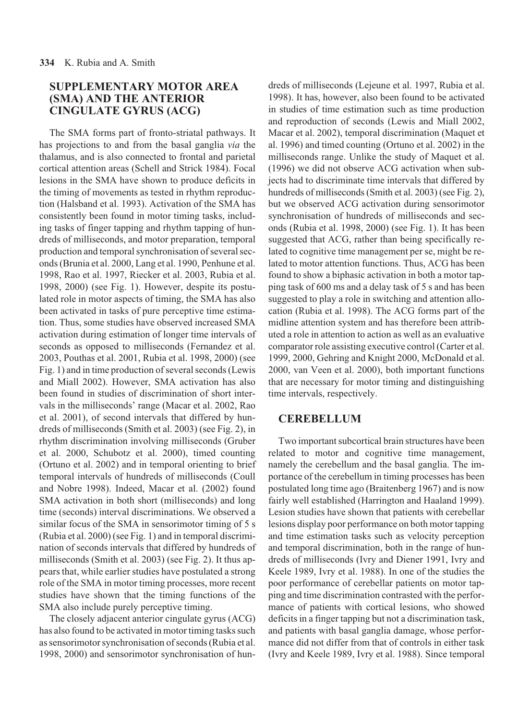# **SUPPLEMENTARY MOTOR AREA (SMA) AND THE ANTERIOR CINGULATE GYRUS (ACG)**

The SMA forms part of fronto-striatal pathways. It has projections to and from the basal ganglia *via* the thalamus, and is also connected to frontal and parietal cortical attention areas (Schell and Strick 1984). Focal lesions in the SMA have shown to produce deficits in the timing of movements as tested in rhythm reproduction (Halsband et al. 1993). Activation of the SMA has consistently been found in motor timing tasks, including tasks of finger tapping and rhythm tapping of hundreds of milliseconds, and motor preparation, temporal production and temporal synchronisation of several seconds (Brunia et al. 2000, Lang et al. 1990, Penhune et al. 1998, Rao et al. 1997, Riecker et al. 2003, Rubia et al. 1998, 2000) (see Fig. 1). However, despite its postulated role in motor aspects of timing, the SMA has also been activated in tasks of pure perceptive time estimation. Thus, some studies have observed increased SMA activation during estimation of longer time intervals of seconds as opposed to milliseconds (Fernandez et al. 2003, Pouthas et al. 2001, Rubia et al. 1998, 2000) (see Fig. 1) and in time production of several seconds (Lewis and Miall 2002). However, SMA activation has also been found in studies of discrimination of short intervals in the milliseconds' range (Macar et al. 2002, Rao et al. 2001), of second intervals that differed by hundreds of milliseconds (Smith et al. 2003) (see Fig. 2), in rhythm discrimination involving milliseconds (Gruber et al. 2000, Schubotz et al. 2000), timed counting (Ortuno et al. 2002) and in temporal orienting to brief temporal intervals of hundreds of milliseconds (Coull and Nobre 1998). Indeed, Macar et al. (2002) found SMA activation in both short (milliseconds) and long time (seconds) interval discriminations. We observed a similar focus of the SMA in sensorimotor timing of 5 s (Rubia et al. 2000) (see Fig. 1) and in temporal discrimination of seconds intervals that differed by hundreds of milliseconds (Smith et al. 2003) (see Fig. 2). It thus appears that, while earlier studies have postulated a strong role of the SMA in motor timing processes, more recent studies have shown that the timing functions of the SMA also include purely perceptive timing.

The closely adjacent anterior cingulate gyrus (ACG) has also found to be activated in motor timing tasks such as sensorimotor synchronisation of seconds (Rubia et al. 1998, 2000) and sensorimotor synchronisation of hun-

dreds of milliseconds (Lejeune et al. 1997, Rubia et al. 1998). It has, however, also been found to be activated in studies of time estimation such as time production and reproduction of seconds (Lewis and Miall 2002, Macar et al. 2002), temporal discrimination (Maquet et al. 1996) and timed counting (Ortuno et al. 2002) in the milliseconds range. Unlike the study of Maquet et al. (1996) we did not observe ACG activation when subjects had to discriminate time intervals that differed by hundreds of milliseconds (Smith et al. 2003) (see Fig. 2), but we observed ACG activation during sensorimotor synchronisation of hundreds of milliseconds and seconds (Rubia et al. 1998, 2000) (see Fig. 1). It has been suggested that ACG, rather than being specifically related to cognitive time management per se, might be related to motor attention functions. Thus, ACG has been found to show a biphasic activation in both a motor tapping task of 600 ms and a delay task of 5 s and has been suggested to play a role in switching and attention allocation (Rubia et al. 1998). The ACG forms part of the midline attention system and has therefore been attributed a role in attention to action as well as an evaluative comparator role assisting executive control (Carter et al. 1999, 2000, Gehring and Knight 2000, McDonald et al. 2000, van Veen et al. 2000), both important functions that are necessary for motor timing and distinguishing time intervals, respectively.

### **CEREBELLUM**

Two important subcortical brain structures have been related to motor and cognitive time management, namely the cerebellum and the basal ganglia. The importance of the cerebellum in timing processes has been postulated long time ago (Braitenberg 1967) and is now fairly well established (Harrington and Haaland 1999). Lesion studies have shown that patients with cerebellar lesions display poor performance on both motor tapping and time estimation tasks such as velocity perception and temporal discrimination, both in the range of hundreds of milliseconds (Ivry and Diener 1991, Ivry and Keele 1989, Ivry et al. 1988). In one of the studies the poor performance of cerebellar patients on motor tapping and time discrimination contrasted with the performance of patients with cortical lesions, who showed deficits in a finger tapping but not a discrimination task, and patients with basal ganglia damage, whose performance did not differ from that of controls in either task (Ivry and Keele 1989, Ivry et al. 1988). Since temporal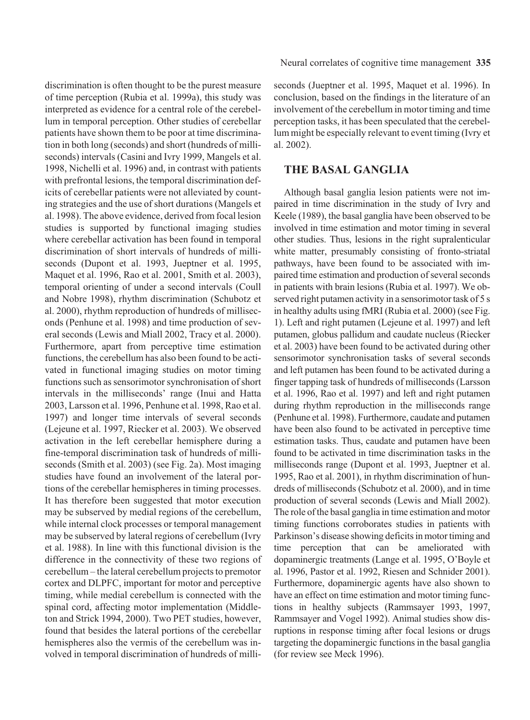discrimination is often thought to be the purest measure of time perception (Rubia et al. 1999a), this study was interpreted as evidence for a central role of the cerebellum in temporal perception. Other studies of cerebellar patients have shown them to be poor at time discrimination in both long (seconds) and short (hundreds of milliseconds) intervals (Casini and Ivry 1999, Mangels et al. 1998, Nichelli et al. 1996) and, in contrast with patients with prefrontal lesions, the temporal discrimination deficits of cerebellar patients were not alleviated by counting strategies and the use of short durations (Mangels et al. 1998). The above evidence, derived from focal lesion studies is supported by functional imaging studies where cerebellar activation has been found in temporal discrimination of short intervals of hundreds of milliseconds (Dupont et al. 1993, Jueptner et al. 1995, Maquet et al. 1996, Rao et al. 2001, Smith et al. 2003), temporal orienting of under a second intervals (Coull and Nobre 1998), rhythm discrimination (Schubotz et al. 2000), rhythm reproduction of hundreds of milliseconds (Penhune et al. 1998) and time production of several seconds (Lewis and Miall 2002, Tracy et al. 2000). Furthermore, apart from perceptive time estimation functions, the cerebellum has also been found to be activated in functional imaging studies on motor timing functions such as sensorimotor synchronisation of short intervals in the milliseconds' range (Inui and Hatta 2003, Larsson et al. 1996, Penhune et al. 1998, Rao et al. 1997) and longer time intervals of several seconds (Lejeune et al. 1997, Riecker et al. 2003). We observed activation in the left cerebellar hemisphere during a fine-temporal discrimination task of hundreds of milliseconds (Smith et al. 2003) (see Fig. 2a). Most imaging studies have found an involvement of the lateral portions of the cerebellar hemispheres in timing processes. It has therefore been suggested that motor execution may be subserved by medial regions of the cerebellum, while internal clock processes or temporal management may be subserved by lateral regions of cerebellum (Ivry et al. 1988). In line with this functional division is the difference in the connectivity of these two regions of cerebellum – the lateral cerebellum projects to premotor cortex and DLPFC, important for motor and perceptive timing, while medial cerebellum is connected with the spinal cord, affecting motor implementation (Middleton and Strick 1994, 2000). Two PET studies, however, found that besides the lateral portions of the cerebellar hemispheres also the vermis of the cerebellum was involved in temporal discrimination of hundreds of milliseconds (Jueptner et al. 1995, Maquet et al. 1996). In conclusion, based on the findings in the literature of an involvement of the cerebellum in motor timing and time perception tasks, it has been speculated that the cerebellum might be especially relevant to event timing (Ivry et al. 2002).

## **THE BASAL GANGLIA**

Although basal ganglia lesion patients were not impaired in time discrimination in the study of Ivry and Keele (1989), the basal ganglia have been observed to be involved in time estimation and motor timing in several other studies. Thus, lesions in the right supralenticular white matter, presumably consisting of fronto-striatal pathways, have been found to be associated with impaired time estimation and production of several seconds in patients with brain lesions (Rubia et al. 1997). We observed right putamen activity in a sensorimotor task of 5 s in healthy adults using fMRI (Rubia et al. 2000) (see Fig. 1). Left and right putamen (Lejeune et al. 1997) and left putamen, globus pallidum and caudate nucleus (Riecker et al. 2003) have been found to be activated during other sensorimotor synchronisation tasks of several seconds and left putamen has been found to be activated during a finger tapping task of hundreds of milliseconds (Larsson et al. 1996, Rao et al. 1997) and left and right putamen during rhythm reproduction in the milliseconds range (Penhune et al. 1998). Furthermore, caudate and putamen have been also found to be activated in perceptive time estimation tasks. Thus, caudate and putamen have been found to be activated in time discrimination tasks in the milliseconds range (Dupont et al. 1993, Jueptner et al. 1995, Rao et al. 2001), in rhythm discrimination of hundreds of milliseconds (Schubotz et al. 2000), and in time production of several seconds (Lewis and Miall 2002). The role of the basal ganglia in time estimation and motor timing functions corroborates studies in patients with Parkinson's disease showing deficits in motor timing and time perception that can be ameliorated with dopaminergic treatments (Lange et al. 1995, O'Boyle et al. 1996, Pastor et al. 1992, Riesen and Schnider 2001). Furthermore, dopaminergic agents have also shown to have an effect on time estimation and motor timing functions in healthy subjects (Rammsayer 1993, 1997, Rammsayer and Vogel 1992). Animal studies show disruptions in response timing after focal lesions or drugs targeting the dopaminergic functions in the basal ganglia (for review see Meck 1996).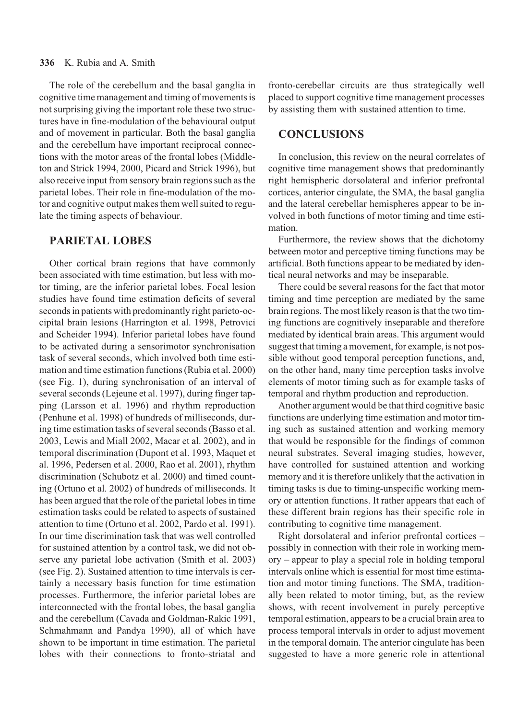#### **336** K. Rubia and A. Smith

The role of the cerebellum and the basal ganglia in cognitive time management and timing of movements is not surprising giving the important role these two structures have in fine-modulation of the behavioural output and of movement in particular. Both the basal ganglia and the cerebellum have important reciprocal connections with the motor areas of the frontal lobes (Middleton and Strick 1994, 2000, Picard and Strick 1996), but also receive input from sensory brain regions such as the parietal lobes. Their role in fine-modulation of the motor and cognitive output makes them well suited to regulate the timing aspects of behaviour.

# **PARIETAL LOBES**

Other cortical brain regions that have commonly been associated with time estimation, but less with motor timing, are the inferior parietal lobes. Focal lesion studies have found time estimation deficits of several seconds in patients with predominantly right parieto-occipital brain lesions (Harrington et al. 1998, Petrovici and Scheider 1994). Inferior parietal lobes have found to be activated during a sensorimotor synchronisation task of several seconds, which involved both time estimation and time estimation functions (Rubia et al. 2000) (see Fig. 1), during synchronisation of an interval of several seconds (Lejeune et al. 1997), during finger tapping (Larsson et al. 1996) and rhythm reproduction (Penhune et al. 1998) of hundreds of milliseconds, during time estimation tasks of several seconds (Basso et al. 2003, Lewis and Miall 2002, Macar et al. 2002), and in temporal discrimination (Dupont et al. 1993, Maquet et al. 1996, Pedersen et al. 2000, Rao et al. 2001), rhythm discrimination (Schubotz et al. 2000) and timed counting (Ortuno et al. 2002) of hundreds of milliseconds. It has been argued that the role of the parietal lobes in time estimation tasks could be related to aspects of sustained attention to time (Ortuno et al. 2002, Pardo et al. 1991). In our time discrimination task that was well controlled for sustained attention by a control task, we did not observe any parietal lobe activation (Smith et al. 2003) (see Fig. 2). Sustained attention to time intervals is certainly a necessary basis function for time estimation processes. Furthermore, the inferior parietal lobes are interconnected with the frontal lobes, the basal ganglia and the cerebellum (Cavada and Goldman-Rakic 1991, Schmahmann and Pandya 1990), all of which have shown to be important in time estimation. The parietal lobes with their connections to fronto-striatal and

fronto-cerebellar circuits are thus strategically well placed to support cognitive time management processes by assisting them with sustained attention to time.

# **CONCLUSIONS**

In conclusion, this review on the neural correlates of cognitive time management shows that predominantly right hemispheric dorsolateral and inferior prefrontal cortices, anterior cingulate, the SMA, the basal ganglia and the lateral cerebellar hemispheres appear to be involved in both functions of motor timing and time estimation.

Furthermore, the review shows that the dichotomy between motor and perceptive timing functions may be artificial. Both functions appear to be mediated by identical neural networks and may be inseparable.

There could be several reasons for the fact that motor timing and time perception are mediated by the same brain regions. The most likely reason is that the two timing functions are cognitively inseparable and therefore mediated by identical brain areas. This argument would suggest that timing a movement, for example, is not possible without good temporal perception functions, and, on the other hand, many time perception tasks involve elements of motor timing such as for example tasks of temporal and rhythm production and reproduction.

Another argument would be that third cognitive basic functions are underlying time estimation and motor timing such as sustained attention and working memory that would be responsible for the findings of common neural substrates. Several imaging studies, however, have controlled for sustained attention and working memory and it is therefore unlikely that the activation in timing tasks is due to timing-unspecific working memory or attention functions. It rather appears that each of these different brain regions has their specific role in contributing to cognitive time management.

Right dorsolateral and inferior prefrontal cortices – possibly in connection with their role in working memory – appear to play a special role in holding temporal intervals online which is essential for most time estimation and motor timing functions. The SMA, traditionally been related to motor timing, but, as the review shows, with recent involvement in purely perceptive temporal estimation, appears to be a crucial brain area to process temporal intervals in order to adjust movement in the temporal domain. The anterior cingulate has been suggested to have a more generic role in attentional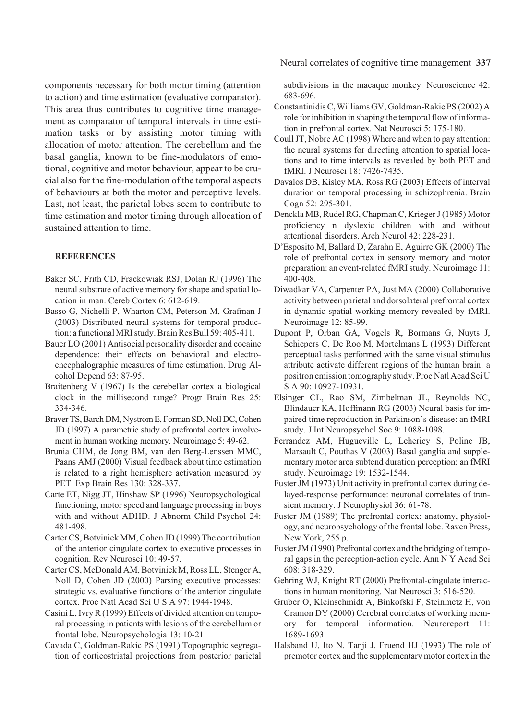components necessary for both motor timing (attention to action) and time estimation (evaluative comparator). This area thus contributes to cognitive time management as comparator of temporal intervals in time estimation tasks or by assisting motor timing with allocation of motor attention. The cerebellum and the basal ganglia, known to be fine-modulators of emotional, cognitive and motor behaviour, appear to be crucial also for the fine-modulation of the temporal aspects of behaviours at both the motor and perceptive levels. Last, not least, the parietal lobes seem to contribute to time estimation and motor timing through allocation of sustained attention to time.

#### **REFERENCES**

- Baker SC, Frith CD, Frackowiak RSJ, Dolan RJ (1996) The neural substrate of active memory for shape and spatial location in man. Cereb Cortex 6: 612-619.
- Basso G, Nichelli P, Wharton CM, Peterson M, Grafman J (2003) Distributed neural systems for temporal production: a functional MRI study. Brain Res Bull 59: 405-411.
- Bauer LO (2001) Antisocial personality disorder and cocaine dependence: their effects on behavioral and electroencephalographic measures of time estimation. Drug Alcohol Depend 63: 87-95.
- Braitenberg V (1967) Is the cerebellar cortex a biological clock in the millisecond range? Progr Brain Res 25: 334-346.
- Braver TS, Barch DM, Nystrom E, Forman SD, Noll DC, Cohen JD (1997) A parametric study of prefrontal cortex involvement in human working memory. Neuroimage 5: 49-62.
- Brunia CHM, de Jong BM, van den Berg-Lenssen MMC, Paans AMJ (2000) Visual feedback about time estimation is related to a right hemisphere activation measured by PET. Exp Brain Res 130: 328-337.
- Carte ET, Nigg JT, Hinshaw SP (1996) Neuropsychological functioning, motor speed and language processing in boys with and without ADHD. J Abnorm Child Psychol 24: 481-498.
- Carter CS, Botvinick MM, Cohen JD (1999) The contribution of the anterior cingulate cortex to executive processes in cognition. Rev Neurosci 10: 49-57.
- Carter CS, McDonald AM, Botvinick M, Ross LL, Stenger A, Noll D, Cohen JD (2000) Parsing executive processes: strategic vs. evaluative functions of the anterior cingulate cortex. Proc Natl Acad Sci U S A 97: 1944-1948.
- Casini L, Ivry R (1999) Effects of divided attention on temporal processing in patients with lesions of the cerebellum or frontal lobe. Neuropsychologia 13: 10-21.
- Cavada C, Goldman-Rakic PS (1991) Topographic segregation of corticostriatal projections from posterior parietal

Neural correlates of cognitive time management **337**

subdivisions in the macaque monkey. Neuroscience 42: 683-696.

- Constantinidis C, Williams GV, Goldman-Rakic PS (2002) A role for inhibition in shaping the temporal flow of information in prefrontal cortex. Nat Neurosci 5: 175-180.
- Coull JT, Nobre AC (1998) Where and when to pay attention: the neural systems for directing attention to spatial locations and to time intervals as revealed by both PET and fMRI. J Neurosci 18: 7426-7435.
- Davalos DB, Kisley MA, Ross RG (2003) Effects of interval duration on temporal processing in schizophrenia. Brain Cogn 52: 295-301.
- Denckla MB, Rudel RG, Chapman C, Krieger J (1985) Motor proficiency n dyslexic children with and without attentional disorders. Arch Neurol 42: 228-231.
- D'Esposito M, Ballard D, Zarahn E, Aguirre GK (2000) The role of prefrontal cortex in sensory memory and motor preparation: an event-related fMRI study. Neuroimage 11: 400-408.
- Diwadkar VA, Carpenter PA, Just MA (2000) Collaborative activity between parietal and dorsolateral prefrontal cortex in dynamic spatial working memory revealed by fMRI. Neuroimage 12: 85-99.
- Dupont P, Orban GA, Vogels R, Bormans G, Nuyts J, Schiepers C, De Roo M, Mortelmans L (1993) Different perceptual tasks performed with the same visual stimulus attribute activate different regions of the human brain: a positron emission tomography study. Proc Natl Acad Sci U S A 90: 10927-10931.
- Elsinger CL, Rao SM, Zimbelman JL, Reynolds NC, Blindauer KA, Hoffmann RG (2003) Neural basis for impaired time reproduction in Parkinson's disease: an fMRI study. J Int Neuropsychol Soc 9: 1088-1098.
- Ferrandez AM, Hugueville L, Lehericy S, Poline JB, Marsault C, Pouthas V (2003) Basal ganglia and supplementary motor area subtend duration perception: an fMRI study. Neuroimage 19: 1532-1544.
- Fuster JM (1973) Unit activity in prefrontal cortex during delayed-response performance: neuronal correlates of transient memory. J Neurophysiol 36: 61-78.
- Fuster JM (1989) The prefrontal cortex: anatomy, physiology, and neuropsychology of the frontal lobe. Raven Press, New York, 255 p.
- Fuster JM (1990) Prefrontal cortex and the bridging of temporal gaps in the perception-action cycle. Ann N Y Acad Sci 608: 318-329.
- Gehring WJ, Knight RT (2000) Prefrontal-cingulate interactions in human monitoring. Nat Neurosci 3: 516-520.
- Gruber O, Kleinschmidt A, Binkofski F, Steinmetz H, von Cramon DY (2000) Cerebral correlates of working memory for temporal information. Neuroreport 11: 1689-1693.
- Halsband U, Ito N, Tanji J, Fruend HJ (1993) The role of premotor cortex and the supplementary motor cortex in the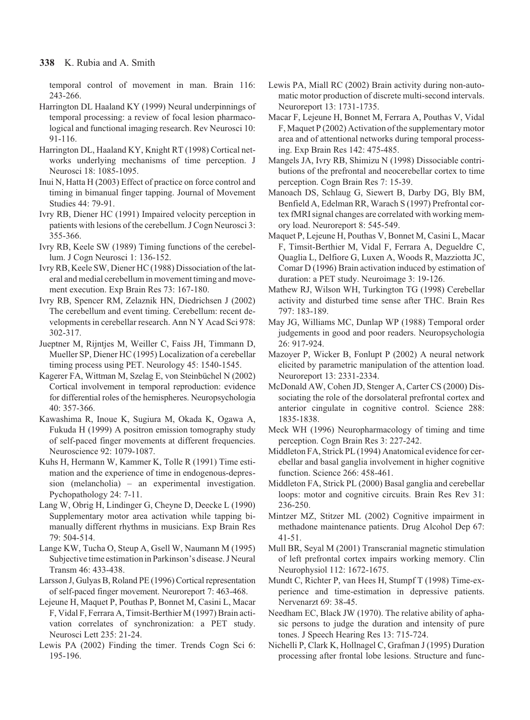#### **338** K. Rubia and A. Smith

temporal control of movement in man. Brain 116: 243-266.

- Harrington DL Haaland KY (1999) Neural underpinnings of temporal processing: a review of focal lesion pharmacological and functional imaging research. Rev Neurosci 10: 91-116.
- Harrington DL, Haaland KY, Knight RT (1998) Cortical networks underlying mechanisms of time perception. J Neurosci 18: 1085-1095.
- Inui N, Hatta H (2003) Effect of practice on force control and timing in bimanual finger tapping. Journal of Movement Studies 44: 79-91.
- Ivry RB, Diener HC (1991) Impaired velocity perception in patients with lesions of the cerebellum. J Cogn Neurosci 3: 355-366.
- Ivry RB, Keele SW (1989) Timing functions of the cerebellum. J Cogn Neurosci 1: 136-152.
- Ivry RB, Keele SW, Diener HC (1988) Dissociation of the lateral and medial cerebellum in movement timing and movement execution. Exp Brain Res 73: 167-180.
- Ivry RB, Spencer RM, Zelaznik HN, Diedrichsen J (2002) The cerebellum and event timing. Cerebellum: recent developments in cerebellar research. Ann N Y Acad Sci 978: 302-317.
- Jueptner M, Rijntjes M, Weiller C, Faiss JH, Timmann D, Mueller SP, Diener HC (1995) Localization of a cerebellar timing process using PET. Neurology 45: 1540-1545.
- Kagerer FA, Wittman M, Szelag E, von Steinbüchel N (2002) Cortical involvement in temporal reproduction: evidence for differential roles of the hemispheres. Neuropsychologia 40: 357-366.
- Kawashima R, Inoue K, Sugiura M, Okada K, Ogawa A, Fukuda H (1999) A positron emission tomography study of self-paced finger movements at different frequencies. Neuroscience 92: 1079-1087.
- Kuhs H, Hermann W, Kammer K, Tolle R (1991) Time estimation and the experience of time in endogenous-depression (melancholia) – an experimental investigation. Pychopathology 24: 7-11.
- Lang W, Obrig H, Lindinger G, Cheyne D, Deecke L (1990) Supplementary motor area activation while tapping bimanually different rhythms in musicians. Exp Brain Res 79: 504-514.
- Lange KW, Tucha O, Steup A, Gsell W, Naumann M (1995) Subjective time estimation in Parkinson's disease. J Neural Transm 46: 433-438.
- Larsson J, Gulyas B, Roland PE (1996) Cortical representation of self-paced finger movement. Neuroreport 7: 463-468.
- Lejeune H, Maquet P, Pouthas P, Bonnet M, Casini L, Macar F, Vidal F, Ferrara A, Timsit-Berthier M (1997) Brain activation correlates of synchronization: a PET study. Neurosci Lett 235: 21-24.
- Lewis PA (2002) Finding the timer. Trends Cogn Sci 6: 195-196.
- Lewis PA, Miall RC (2002) Brain activity during non-automatic motor production of discrete multi-second intervals. Neuroreport 13: 1731-1735.
- Macar F, Lejeune H, Bonnet M, Ferrara A, Pouthas V, Vidal F, Maquet P (2002) Activation of the supplementary motor area and of attentional networks during temporal processing. Exp Brain Res 142: 475-485.
- Mangels JA, Ivry RB, Shimizu N (1998) Dissociable contributions of the prefrontal and neocerebellar cortex to time perception. Cogn Brain Res 7: 15-39.
- Manoach DS, Schlaug G, Siewert B, Darby DG, Bly BM, Benfield A, Edelman RR, Warach S (1997) Prefrontal cortex fMRI signal changes are correlated with working memory load. Neuroreport 8: 545-549.
- Maquet P, Lejeune H, Pouthas V, Bonnet M, Casini L, Macar F, Timsit-Berthier M, Vidal F, Ferrara A, Degueldre C, Quaglia L, Delfiore G, Luxen A, Woods R, Mazziotta JC, Comar D (1996) Brain activation induced by estimation of duration: a PET study. Neuroimage 3: 19-126.
- Mathew RJ, Wilson WH, Turkington TG (1998) Cerebellar activity and disturbed time sense after THC. Brain Res 797: 183-189.
- May JG, Williams MC, Dunlap WP (1988) Temporal order judgements in good and poor readers. Neuropsychologia 26: 917-924.
- Mazoyer P, Wicker B, Fonlupt P (2002) A neural network elicited by parametric manipulation of the attention load. Neuroreport 13: 2331-2334.
- McDonald AW, Cohen JD, Stenger A, Carter CS (2000) Dissociating the role of the dorsolateral prefrontal cortex and anterior cingulate in cognitive control. Science 288: 1835-1838.
- Meck WH (1996) Neuropharmacology of timing and time perception. Cogn Brain Res 3: 227-242.
- Middleton FA, Strick PL (1994) Anatomical evidence for cerebellar and basal ganglia involvement in higher cognitive function. Science 266: 458-461.
- Middleton FA, Strick PL (2000) Basal ganglia and cerebellar loops: motor and cognitive circuits. Brain Res Rev 31: 236-250.
- Mintzer MZ, Stitzer ML (2002) Cognitive impairment in methadone maintenance patients. Drug Alcohol Dep 67: 41-51.
- Mull BR, Seyal M (2001) Transcranial magnetic stimulation of left prefrontal cortex impairs working memory. Clin Neurophysiol 112: 1672-1675.
- Mundt C, Richter P, van Hees H, Stumpf T (1998) Time-experience and time-estimation in depressive patients. Nervenarzt 69: 38-45.
- Needham EC, Black JW (1970). The relative ability of aphasic persons to judge the duration and intensity of pure tones. J Speech Hearing Res 13: 715-724.
- Nichelli P, Clark K, Hollnagel C, Grafman J (1995) Duration processing after frontal lobe lesions. Structure and func-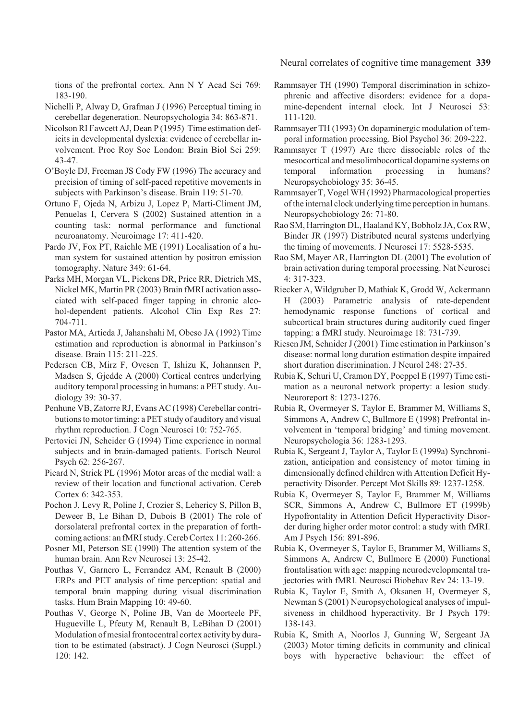Neural correlates of cognitive time management **339**

tions of the prefrontal cortex. Ann N Y Acad Sci 769: 183-190.

Nichelli P, Alway D, Grafman J (1996) Perceptual timing in cerebellar degeneration. Neuropsychologia 34: 863-871.

- Nicolson RI Fawcett AJ, Dean P (1995) Time estimation deficits in developmental dyslexia: evidence of cerebellar involvement. Proc Roy Soc London: Brain Biol Sci 259: 43-47.
- O'Boyle DJ, Freeman JS Cody FW (1996) The accuracy and precision of timing of self-paced repetitive movements in subjects with Parkinson's disease. Brain 119: 51-70.
- Ortuno F, Ojeda N, Arbizu J, Lopez P, Marti-Climent JM, Penuelas I, Cervera S (2002) Sustained attention in a counting task: normal performance and functional neuroanatomy. Neuroimage 17: 411-420.

Pardo JV, Fox PT, Raichle ME (1991) Localisation of a human system for sustained attention by positron emission tomography. Nature 349: 61-64.

Parks MH, Morgan VL, Pickens DR, Price RR, Dietrich MS, Nickel MK, Martin PR (2003) Brain fMRI activation associated with self-paced finger tapping in chronic alcohol-dependent patients. Alcohol Clin Exp Res 27: 704-711.

Pastor MA, Artieda J, Jahanshahi M, Obeso JA (1992) Time estimation and reproduction is abnormal in Parkinson's disease. Brain 115: 211-225.

Pedersen CB, Mirz F, Ovesen T, Ishizu K, Johannsen P, Madsen S, Gjedde A (2000) Cortical centres underlying auditory temporal processing in humans: a PET study. Audiology 39: 30-37.

Penhune VB, Zatorre RJ, Evans AC (1998) Cerebellar contributions to motor timing: a PET study of auditory and visual rhythm reproduction. J Cogn Neurosci 10: 752-765.

Pertovici JN, Scheider G (1994) Time experience in normal subjects and in brain-damaged patients. Fortsch Neurol Psych 62: 256-267.

Picard N, Strick PL (1996) Motor areas of the medial wall: a review of their location and functional activation. Cereb Cortex 6: 342-353.

Pochon J, Levy R, Poline J, Crozier S, Lehericy S, Pillon B, Deweer B, Le Bihan D, Dubois B (2001) The role of dorsolateral prefrontal cortex in the preparation of forthcoming actions: an fMRI study. Cereb Cortex 11: 260-266.

Posner MI, Peterson SE (1990) The attention system of the human brain. Ann Rev Neurosci 13: 25-42.

Pouthas V, Garnero L, Ferrandez AM, Renault B (2000) ERPs and PET analysis of time perception: spatial and temporal brain mapping during visual discrimination tasks. Hum Brain Mapping 10: 49-60.

Pouthas V, George N, Poline JB, Van de Moorteele PF, Hugueville L, Pfeuty M, Renault B, LeBihan D (2001) Modulation of mesial frontocentral cortex activity by duration to be estimated (abstract). J Cogn Neurosci (Suppl.) 120: 142.

Rammsayer TH (1990) Temporal discrimination in schizophrenic and affective disorders: evidence for a dopamine-dependent internal clock. Int J Neurosci 53: 111-120.

- Rammsayer TH (1993) On dopaminergic modulation of temporal information processing. Biol Psychol 36: 209-222.
- Rammsayer T (1997) Are there dissociable roles of the mesocortical and mesolimbocortical dopamine systems on temporal information processing in humans? Neuropsychobiology 35: 36-45.
- Rammsayer T, Vogel WH (1992) Pharmacological properties of the internal clock underlying time perception in humans. Neuropsychobiology 26: 71-80.
- Rao SM, Harrington DL, Haaland KY, Bobholz JA, Cox RW, Binder JR (1997) Distributed neural systems underlying the timing of movements. J Neurosci 17: 5528-5535.
- Rao SM, Mayer AR, Harrington DL (2001) The evolution of brain activation during temporal processing. Nat Neurosci 4: 317-323.
- Riecker A, Wildgruber D, Mathiak K, Grodd W, Ackermann H (2003) Parametric analysis of rate-dependent hemodynamic response functions of cortical and subcortical brain structures during auditorily cued finger tapping: a fMRI study. Neuroimage 18: 731-739.
- Riesen JM, Schnider J (2001) Time estimation in Parkinson's disease: normal long duration estimation despite impaired short duration discrimination. J Neurol 248: 27-35.

Rubia K, Schuri U, Cramon DY, Poeppel E (1997) Time estimation as a neuronal network property: a lesion study. Neuroreport 8: 1273-1276.

Rubia R, Overmeyer S, Taylor E, Brammer M, Williams S, Simmons A, Andrew C, Bullmore E (1998) Prefrontal involvement in 'temporal bridging' and timing movement. Neuropsychologia 36: 1283-1293.

Rubia K, Sergeant J, Taylor A, Taylor E (1999a) Synchronization, anticipation and consistency of motor timing in dimensionally defined children with Attention Deficit Hyperactivity Disorder. Percept Mot Skills 89: 1237-1258.

Rubia K, Overmeyer S, Taylor E, Brammer M, Williams SCR, Simmons A, Andrew C, Bullmore ET (1999b) Hypofrontality in Attention Deficit Hyperactivity Disorder during higher order motor control: a study with fMRI. Am J Psych 156: 891-896.

Rubia K, Overmeyer S, Taylor E, Brammer M, Williams S, Simmons A, Andrew C, Bullmore E (2000) Functional frontalisation with age: mapping neurodevelopmental trajectories with fMRI. Neurosci Biobehav Rev 24: 13-19.

Rubia K, Taylor E, Smith A, Oksanen H, Overmeyer S, Newman S (2001) Neuropsychological analyses of impulsiveness in childhood hyperactivity. Br J Psych 179: 138-143.

Rubia K, Smith A, Noorlos J, Gunning W, Sergeant JA (2003) Motor timing deficits in community and clinical boys with hyperactive behaviour: the effect of